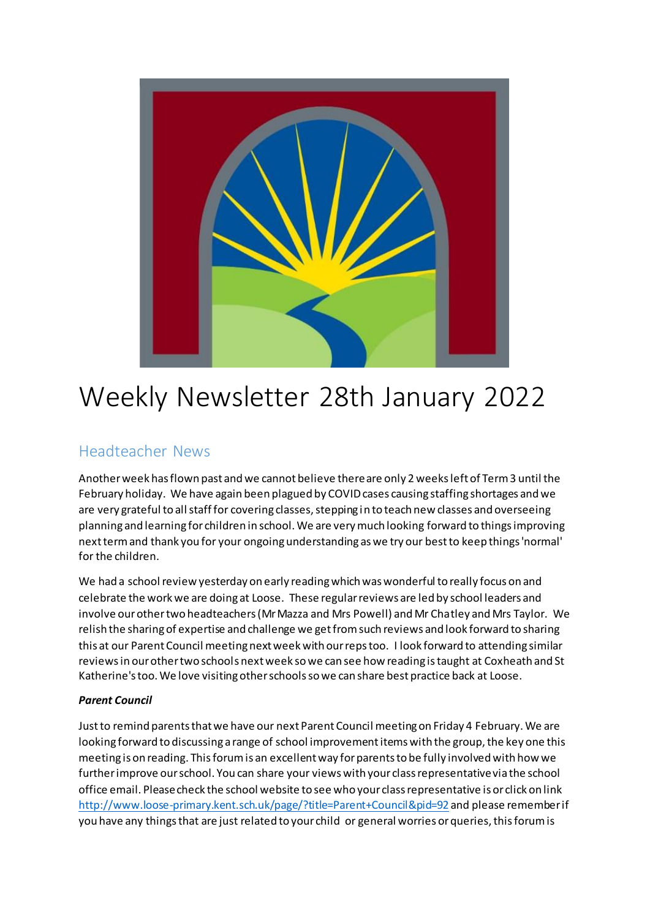

# Weekly Newsletter 28th January 2022

# Headteacher News

Another week has flown past and we cannot believe there are only 2 weeks left of Term 3 until the February holiday. We have again been plagued by COVID cases causing staffing shortages and we are very grateful to all staff for covering classes, stepping in to teach new classes and overseeing planning and learning for children in school. We are very much looking forward to things improving next term and thank you for your ongoing understanding as we try our best to keep things 'normal' for the children.

We had a school review yesterday on early reading which was wonderful to really focus on and celebrate the work we are doing at Loose. These regular reviews are led by school leaders and involve our other two headteachers (Mr Mazza and Mrs Powell) and Mr Chatley and Mrs Taylor. We relish the sharing of expertise and challenge we get from such reviews and look forward to sharing this at our Parent Council meeting next week with our reps too. I look forward to attending similar reviews in our other two schools next week so we can see how reading is taught at Coxheath and St Katherine's too. We love visiting other schools so we can share best practice back at Loose.

#### *Parent Council*

Just to remind parents that we have our next Parent Council meeting on Friday 4 February. We are looking forward to discussing a range of school improvement items with the group, the key one this meeting is on reading. This forum is an excellent way for parents to be fully involved with how we further improve our school. You can share your views with your class representative via the school office email. Please check the school website to see who your class representative is or click on link <http://www.loose-primary.kent.sch.uk/page/?title=Parent+Council&pid=92> and please remember if you have any things that are just related to your child or general worries or queries, this forum is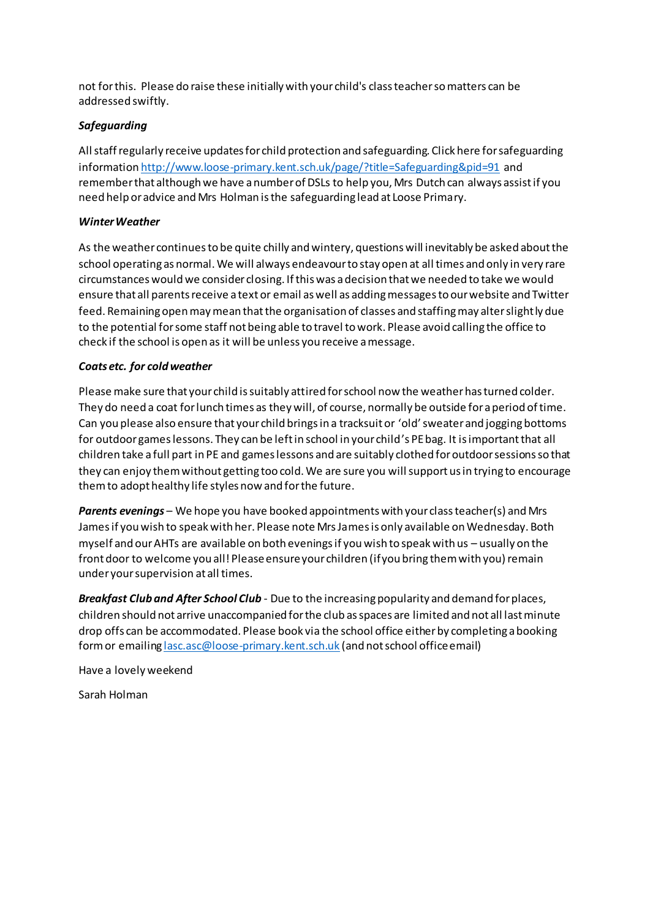not for this. Please do raise these initially with your child's class teacher so matters can be addressed swiftly.

#### *Safeguarding*

All staff regularly receive updates for child protection and safeguarding. Click here for safeguarding informatio[n http://www.loose-primary.kent.sch.uk/page/?title=Safeguarding&pid=91](http://www.loose-primary.kent.sch.uk/page/?title=Safeguarding&pid=91) and remember that although we have a number of DSLs to help you, Mrs Dutch can always assist if you need help or advice and Mrs Holman is the safeguarding lead at Loose Primary.

#### *Winter Weather*

As the weather continues to be quite chilly and wintery, questions will inevitably be asked about the school operating as normal. We will always endeavour to stay open at all times and only in very rare circumstances would we consider closing. If this was a decision that we needed to take we would ensure that all parents receive a text or email as well as adding messages to our website and Twitter feed. Remaining open may mean that the organisation of classes and staffing may alter slightly due to the potential for some staff not being able to travel to work. Please avoid calling the office to check if the school is open as it will be unless you receive a message.

#### *Coats etc. for cold weather*

Please make sure that your child is suitably attired for school now the weather has turned colder. They do need a coat for lunch times as they will, of course, normally be outside for a period of time. Can you please also ensure that your child brings in a tracksuit or 'old'sweater and jogging bottoms for outdoor games lessons. They can be left in school in your child's PE bag. It is important that all children take a full part in PE and games lessons and are suitably clothed for outdoor sessions so that they can enjoy them without getting too cold. We are sure you will support us in trying to encourage them to adopt healthy life styles now and for the future.

*Parents evenings* – We hope you have booked appointments with your class teacher(s) and Mrs James if you wish to speak with her. Please note Mrs James is only available on Wednesday. Both myself and our AHTs are available on both evenings if you wish to speak with us – usually on the front door to welcome you all! Please ensure your children (if you bring them with you) remain under your supervision at all times.

*Breakfast Club and After School Club* - Due to the increasing popularity and demand for places, children should not arrive unaccompanied for the club as spaces are limited and not all last minute drop offs can be accommodated. Please book via the school office either by completing a booking form or emailin[g lasc.asc@loose-primary.kent.sch.uk](mailto:lasc.asc@loose-primary.kent.sch.uk) (and not school office email)

Have a lovely weekend

Sarah Holman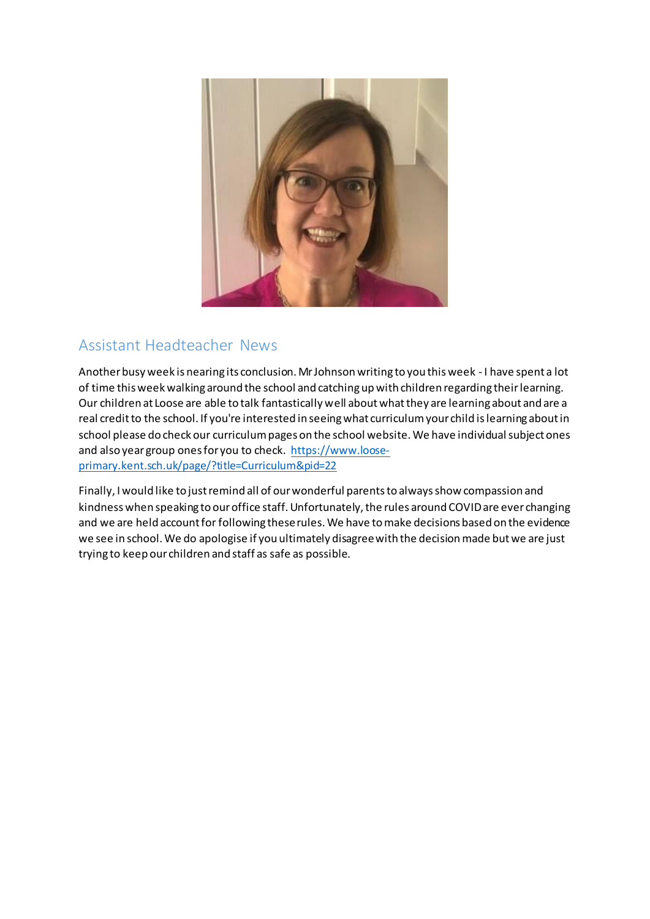

# Assistant Headteacher News

Another busy week is nearing its conclusion. Mr Johnson writing to you this week - I have spent a lot of time this week walking around the school and catching up with children regarding their learning. Our children at Loose are able to talk fantastically well about what they are learning about and are a real credit to the school. If you're interested in seeing what curriculum your child is learning about in school please do check our curriculum pages on the school website. We have individual subject ones and also year group ones for you to check. [https://www.loose](https://www.loose-primary.kent.sch.uk/page/?title=Curriculum&pid=22)[primary.kent.sch.uk/page/?title=Curriculum&pid=22](https://www.loose-primary.kent.sch.uk/page/?title=Curriculum&pid=22)

Finally, I would like to just remind all of our wonderful parents to always show compassion and kindness when speaking to our office staff. Unfortunately, the rules around COVID are ever changing and we are held account for following these rules. We have to make decisions based on the evidence we see in school. We do apologise if you ultimately disagree with the decision made but we are just trying to keep our children and staff as safe as possible.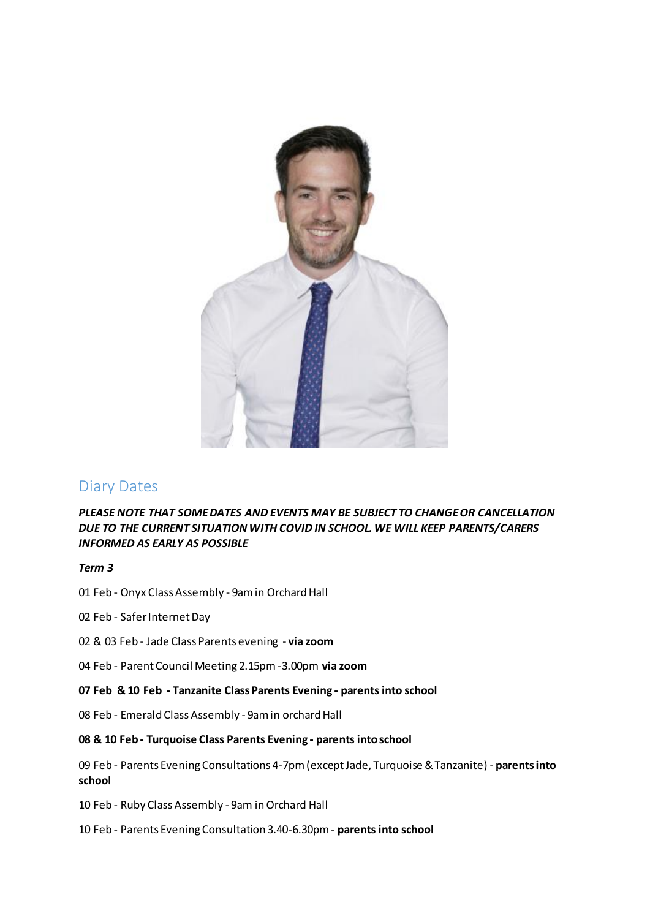

### Diary Dates

*PLEASE NOTE THAT SOME DATES AND EVENTS MAY BE SUBJECT TO CHANGE OR CANCELLATION DUE TO THE CURRENT SITUATION WITH COVID IN SCHOOL. WE WILL KEEP PARENTS/CARERS INFORMED AS EARLY AS POSSIBLE*

*Term 3*

- 01 Feb Onyx Class Assembly 9am in Orchard Hall
- 02 Feb Safer Internet Day
- 02 & 03 Feb Jade Class Parents evening **via zoom**
- 04 Feb Parent Council Meeting 2.15pm -3.00pm **via zoom**
- **07 Feb & 10 Feb - Tanzanite Class Parents Evening - parents into school**
- 08 Feb Emerald Class Assembly 9am in orchard Hall

#### **08 & 10 Feb - Turquoise Class Parents Evening - parents into school**

- 09 Feb Parents Evening Consultations 4-7pm (except Jade, Turquoise & Tanzanite) **parents into school**
- 10 Feb Ruby Class Assembly 9am in Orchard Hall
- 10 Feb Parents Evening Consultation 3.40-6.30pm **parents into school**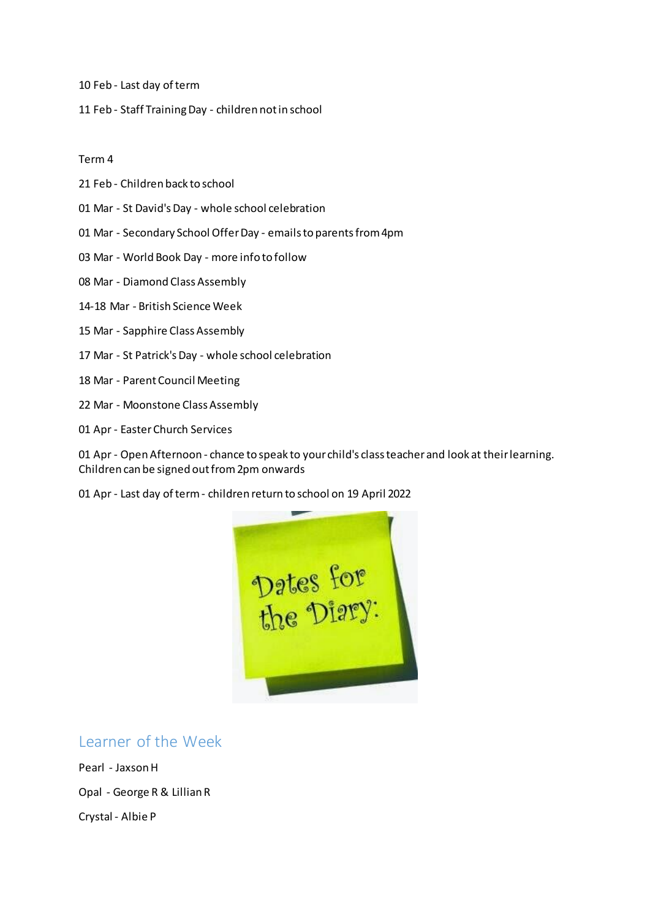- 10 Feb Last day of term
- 11 Feb Staff Training Day children not in school

#### Term 4

- 21 Feb Children back to school
- 01 Mar St David's Day whole school celebration
- 01 Mar Secondary School Offer Day emails to parents from 4pm
- 03 Mar World Book Day more info to follow
- 08 Mar Diamond Class Assembly
- 14-18 Mar British Science Week
- 15 Mar Sapphire Class Assembly
- 17 Mar St Patrick's Day whole school celebration
- 18 Mar Parent Council Meeting
- 22 Mar Moonstone Class Assembly
- 01 Apr Easter Church Services

01 Apr - Open Afternoon - chance to speak to your child's class teacher and look at their learning. Children can be signed out from 2pm onwards

01 Apr - Last day of term - children return to school on 19 April 2022



Learner of the Week

Pearl - Jaxson H Opal - George R & Lillian R Crystal - Albie P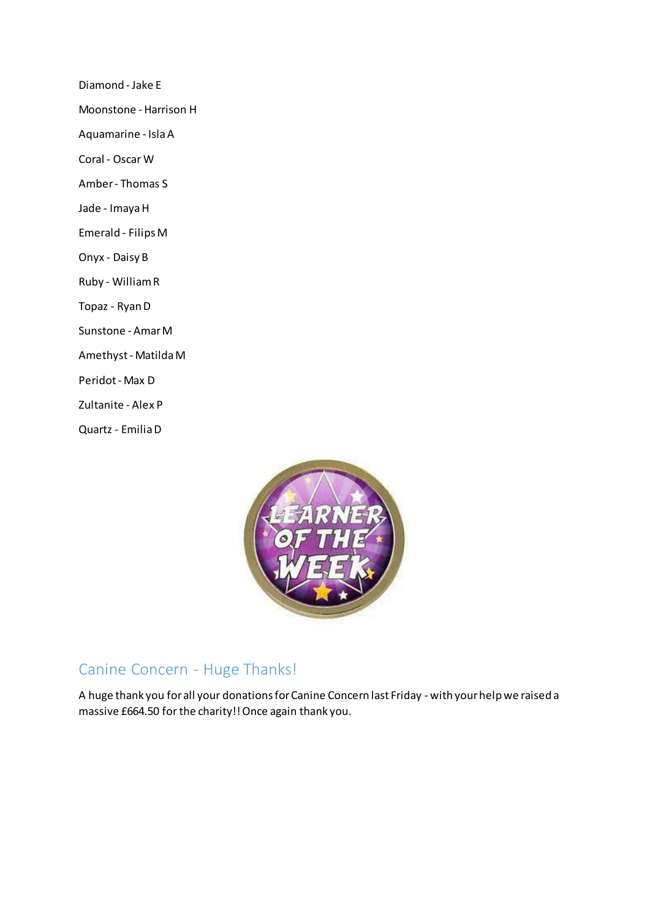Diamond - Jake E

Moonstone - Harrison H

Aquamarine - Isla A

Coral - Oscar W

Amber - Thomas S

Jade - Imaya H

Emerald - Filips M

Onyx - Daisy B

Ruby - William R

Topaz - Ryan D

Sunstone - Amar M

Amethyst - Matilda M

Peridot - Max D

Zultanite - Alex P

Quartz - Emilia D



# Canine Concern - Huge Thanks!

A huge thank you for all your donations for Canine Concern last Friday - with your help we raised a massive £664.50 for the charity!! Once again thank you.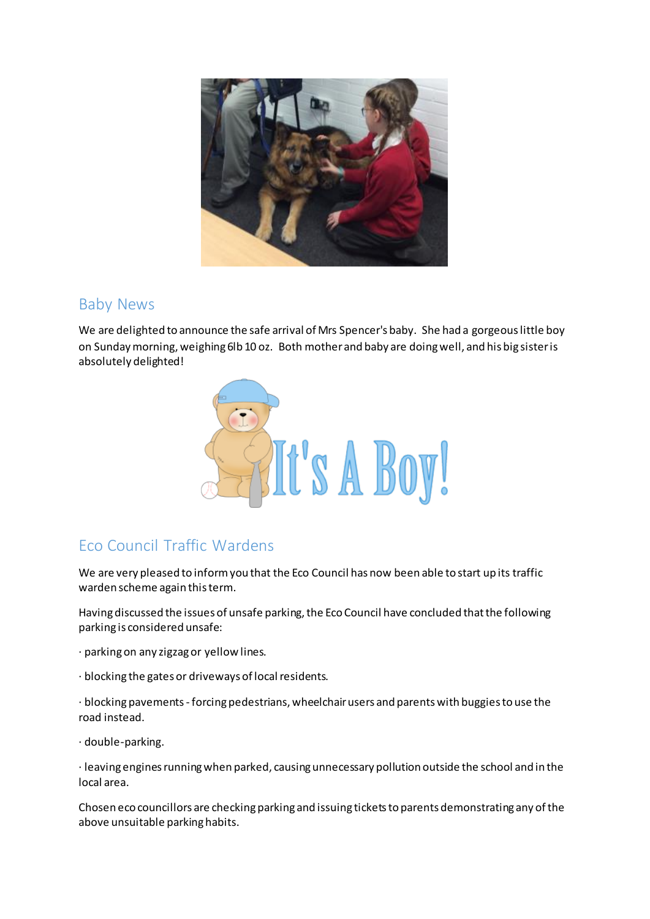

### Baby News

We are delighted to announce the safe arrival of Mrs Spencer's baby. She had a gorgeous little boy on Sunday morning, weighing 6lb 10 oz. Both mother and baby are doing well, and his big sister is absolutely delighted!



# Eco Council Traffic Wardens

We are very pleased to inform you that the Eco Council has now been able to start up its traffic warden scheme again this term.

Having discussed the issues of unsafe parking, the Eco Council have concluded that the following parking is considered unsafe:

· parking on any zigzag or yellow lines.

· blocking the gates or driveways of local residents.

· blocking pavements - forcing pedestrians, wheelchair users and parents with buggies to use the road instead.

· double-parking.

· leaving engines running when parked, causing unnecessary pollution outside the school and in the local area.

Chosen eco councillors are checking parking and issuing tickets to parents demonstrating any of the above unsuitable parking habits.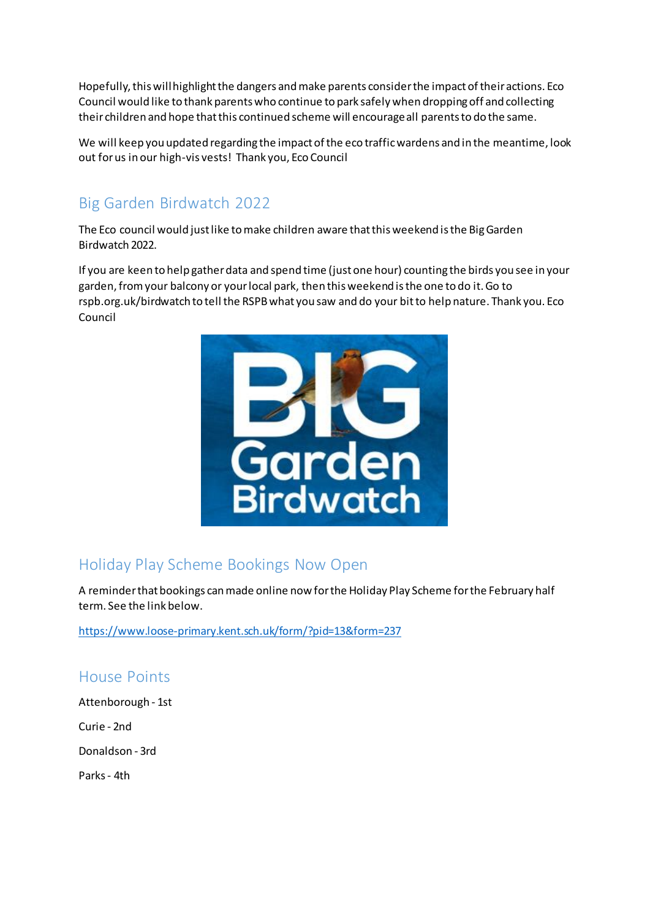Hopefully, this will highlight the dangers and make parents consider the impact of their actions. Eco Council would like to thank parents who continue to park safely when dropping off and collecting their children and hope that this continued scheme will encourage all parents to do the same.

We will keep you updated regarding the impact of the eco traffic wardens and in the meantime, look out for us in our high-vis vests! Thank you, Eco Council

# Big Garden Birdwatch 2022

The Eco council would just like to make children aware that this weekend is the Big Garden Birdwatch 2022.

If you are keen to help gather data and spend time (just one hour) counting the birds you see in your garden, from your balcony or your local park, then this weekend is the one to do it. Go to rspb.org.uk/birdwatch to tell the RSPB what you saw and do your bit to help nature. Thank you. Eco Council



# Holiday Play Scheme Bookings Now Open

A reminder that bookings can made online now for the Holiday Play Scheme for the February half term. See the link below.

<https://www.loose-primary.kent.sch.uk/form/?pid=13&form=237>

### House Points

Attenborough - 1st

Curie - 2nd

Donaldson - 3rd

Parks - 4th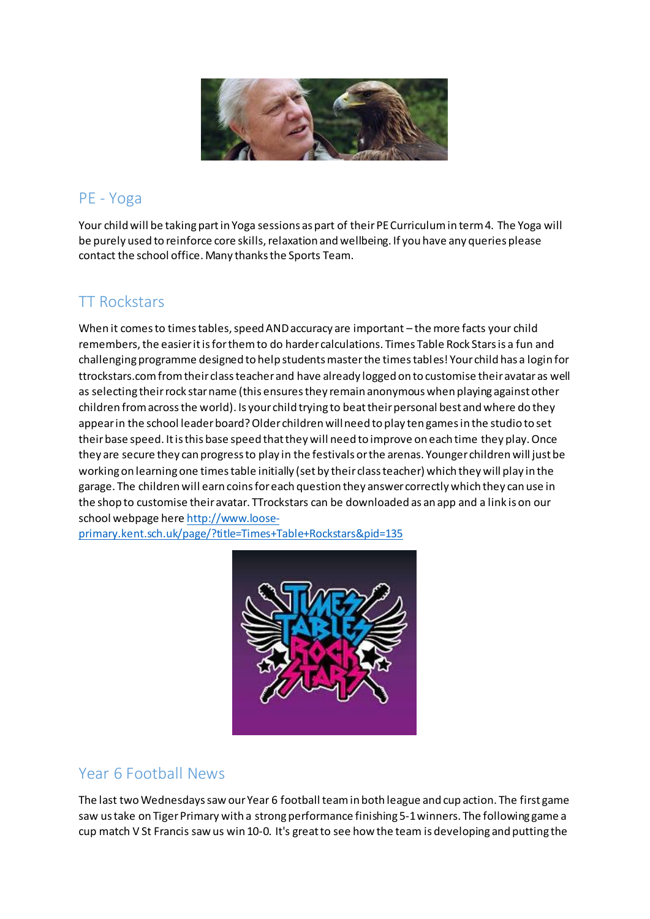

### PE - Yoga

Your child will be taking part in Yoga sessions as part of their PE Curriculum in term 4. The Yoga will be purely used to reinforce core skills, relaxation and wellbeing. If you have any queries please contact the school office. Many thanks the Sports Team.

# TT Rockstars

When it comes to times tables, speed AND accuracy are important – the more facts your child remembers, the easier it is for them to do harder calculations. Times Table Rock Stars is a fun and challenging programme designed to help students master the times tables! Your child has a login for ttrockstars.com from their class teacher and have already logged on to customise their avatar as well as selecting their rock star name (this ensures they remain anonymous when playing against other children from across the world). Is your child trying to beat their personal best and where do they appear in the school leader board? Older children will need to play ten games in the studio to set their base speed. It is this base speed that they will need to improve on each time they play. Once they are secure they can progress to play in the festivals or the arenas. Younger children will just be working on learning one times table initially (set by their class teacher) which they will play in the garage. The children will earn coins for each question they answer correctly which they can use in the shop to customise their avatar. TTrockstars can be downloaded as an app and a link is on our school webpage her[e http://www.loose-](http://www.loose-primary.kent.sch.uk/page/?title=Times+Table+Rockstars&pid=135)

[primary.kent.sch.uk/page/?title=Times+Table+Rockstars&pid=135](http://www.loose-primary.kent.sch.uk/page/?title=Times+Table+Rockstars&pid=135)



# Year 6 Football News

The last two Wednesdays saw our Year 6 football team in both league and cup action. The first game saw us take on Tiger Primary with a strong performance finishing 5-1 winners. The following game a cup match V St Francis saw us win 10-0. It's great to see how the team is developing and putting the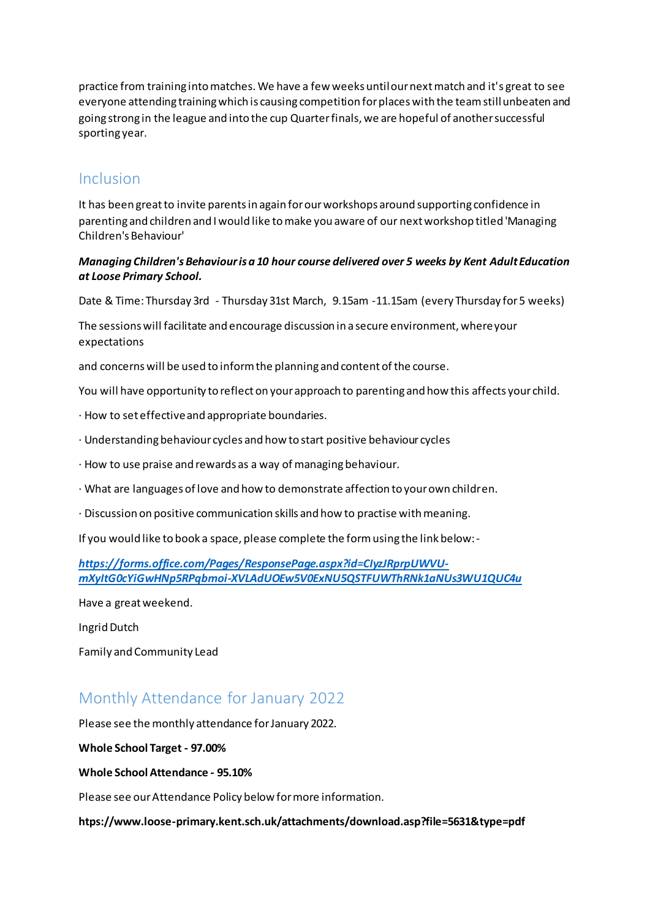practice from training into matches. We have a few weeks until our next match and it's great to see everyone attending training which is causing competition for places with the team still unbeaten and going strong in the league and into the cup Quarter finals, we are hopeful of another successful sporting year.

### Inclusion

It has been great to invite parents in again for our workshops around supporting confidence in parenting and children and I would like to make you aware of our next workshop titled 'Managing Children's Behaviour'

#### *Managing Children's Behaviour is a 10 hour course delivered over 5 weeks by Kent Adult Education at Loose Primary School.*

Date & Time: Thursday 3rd - Thursday 31st March, 9.15am -11.15am (every Thursday for 5 weeks)

The sessions will facilitate and encourage discussion in a secure environment, where your expectations

and concerns will be used to inform the planning and content of the course.

You will have opportunity to reflect on your approach to parenting and how this affects your child.

- · How to set effective and appropriate boundaries.
- · Understanding behaviour cycles and how to start positive behaviour cycles
- · How to use praise and rewards as a way of managing behaviour.
- · What are languages of love and how to demonstrate affection to your own children.
- · Discussion on positive communication skills and how to practise with meaning.

If you would like to book a space, please complete the form using the link below:-

*[https://forms.office.com/Pages/ResponsePage.aspx?id=CIyzJRprpUWVU](https://forms.office.com/Pages/ResponsePage.aspx?id=CIyzJRprpUWVU-mXyItG0cYiGwHNp5RPqbmoi-XVLAdUOEw5V0ExNU5QSTFUWThRNk1aNUs3WU1QUC4u)[mXyItG0cYiGwHNp5RPqbmoi-XVLAdUOEw5V0ExNU5QSTFUWThRNk1aNUs3WU1QUC4u](https://forms.office.com/Pages/ResponsePage.aspx?id=CIyzJRprpUWVU-mXyItG0cYiGwHNp5RPqbmoi-XVLAdUOEw5V0ExNU5QSTFUWThRNk1aNUs3WU1QUC4u)*

Have a great weekend.

Ingrid Dutch

Family and Community Lead

# Monthly Attendance for January 2022

Please see the monthly attendance for January 2022.

**Whole School Target - 97.00%**

**Whole School Attendance - 95.10%**

Please see our Attendance Policy below for more information.

**htps://www.loose-primary.kent.sch.uk/attachments/download.asp?file=5631&type=pdf**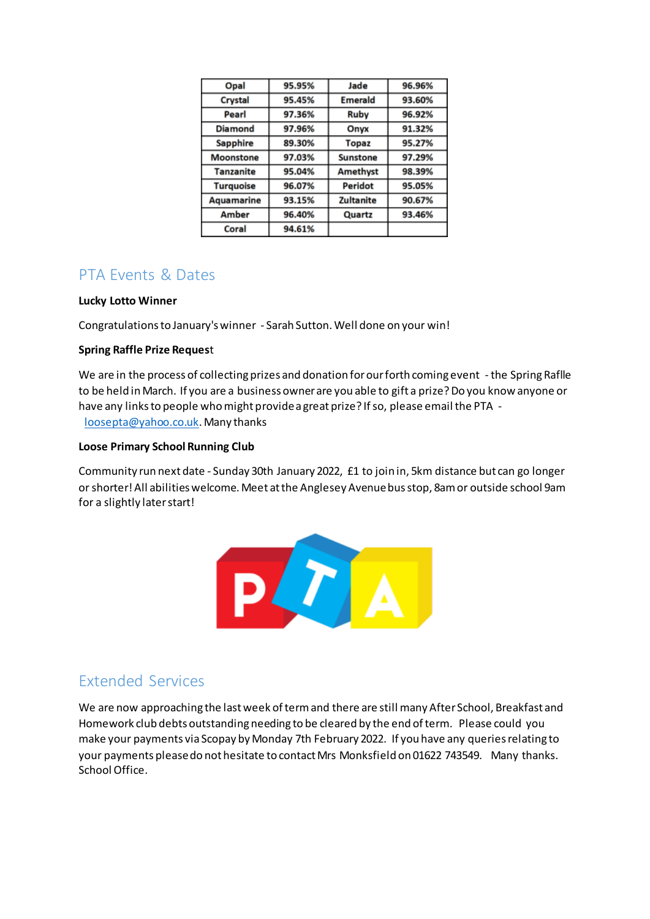| Opal             | 95.95% | Jade             | 96.96% |
|------------------|--------|------------------|--------|
| Crystal          | 95.45% | <b>Emerald</b>   | 93.60% |
| Pearl            | 97.36% | Ruby             | 96.92% |
| <b>Diamond</b>   | 97.96% | Onyx             | 91.32% |
| <b>Sapphire</b>  | 89.30% | <b>Topaz</b>     | 95.27% |
| <b>Moonstone</b> | 97.03% | <b>Sunstone</b>  | 97.29% |
| <b>Tanzanite</b> | 95.04% | Amethyst         | 98.39% |
| <b>Turquoise</b> | 96.07% | Peridot          | 95.05% |
| Aquamarine       | 93.15% | <b>Zultanite</b> | 90.67% |
| Amber            | 96.40% | Quartz           | 93.46% |
| Coral            | 94.61% |                  |        |

### PTA Events & Dates

#### **Lucky Lotto Winner**

Congratulations to January's winner - Sarah Sutton. Well done on your win!

#### **Spring Raffle Prize Reques**t

We are in the process of collecting prizes and donation for our forth coming event - the Spring Raflle to be held in March. If you are a business owner are you able to gift a prize? Do you know anyone or have any links to people who might provide a great prize? If so, please email the PTA [loosepta@yahoo.co.uk](mailto:loosepta@yahoo.co.uk). Many thanks

#### **Loose Primary School Running Club**

Community run next date - Sunday 30th January 2022, £1 to join in, 5km distance but can go longer or shorter! All abilities welcome. Meet at the Anglesey Avenue bus stop, 8am or outside school 9am for a slightly later start!



# Extended Services

We are now approaching the last week of term and there are still many After School, Breakfast and Homework club debts outstanding needing to be cleared by the end of term. Please could you make your payments via Scopay by Monday 7th February 2022. If you have any queries relating to your payments please do not hesitate to contact Mrs Monksfield on 01622 743549. Many thanks. School Office.